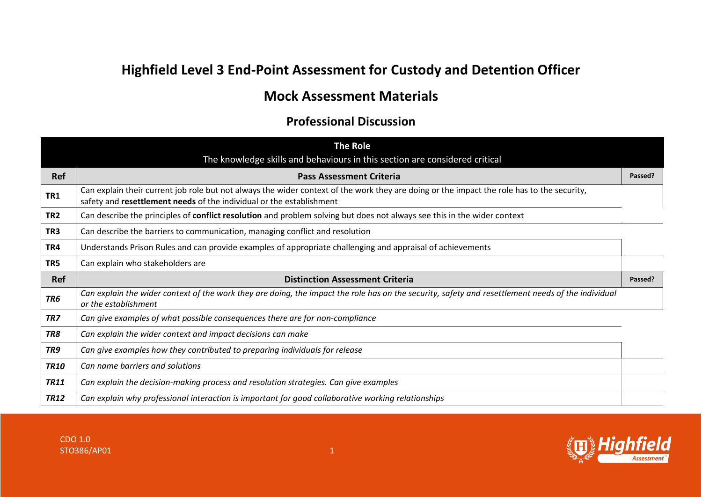## **Highfield Level 3 End-Point Assessment for Custody and Detention Officer**

## **Mock Assessment Materials**

## **Professional Discussion**

|                 | <b>The Role</b>                                                                                                                                                                                                    |         |
|-----------------|--------------------------------------------------------------------------------------------------------------------------------------------------------------------------------------------------------------------|---------|
|                 | The knowledge skills and behaviours in this section are considered critical                                                                                                                                        |         |
| Ref             | <b>Pass Assessment Criteria</b>                                                                                                                                                                                    | Passed? |
| TR1             | Can explain their current job role but not always the wider context of the work they are doing or the impact the role has to the security,<br>safety and resettlement needs of the individual or the establishment |         |
| TR <sub>2</sub> | Can describe the principles of conflict resolution and problem solving but does not always see this in the wider context                                                                                           |         |
| TR <sub>3</sub> | Can describe the barriers to communication, managing conflict and resolution                                                                                                                                       |         |
| TR4             | Understands Prison Rules and can provide examples of appropriate challenging and appraisal of achievements                                                                                                         |         |
| TR5             | Can explain who stakeholders are                                                                                                                                                                                   |         |
| <b>Ref</b>      | <b>Distinction Assessment Criteria</b>                                                                                                                                                                             | Passed? |
| TR <sub>6</sub> | Can explain the wider context of the work they are doing, the impact the role has on the security, safety and resettlement needs of the individual<br>or the establishment                                         |         |
| TR7             | Can give examples of what possible consequences there are for non-compliance                                                                                                                                       |         |
| TR8             | Can explain the wider context and impact decisions can make                                                                                                                                                        |         |
| TR9             | Can give examples how they contributed to preparing individuals for release                                                                                                                                        |         |
| <b>TR10</b>     | Can name barriers and solutions                                                                                                                                                                                    |         |
| <b>TR11</b>     | Can explain the decision-making process and resolution strategies. Can give examples                                                                                                                               |         |
| <b>TR12</b>     | Can explain why professional interaction is important for good collaborative working relationships                                                                                                                 |         |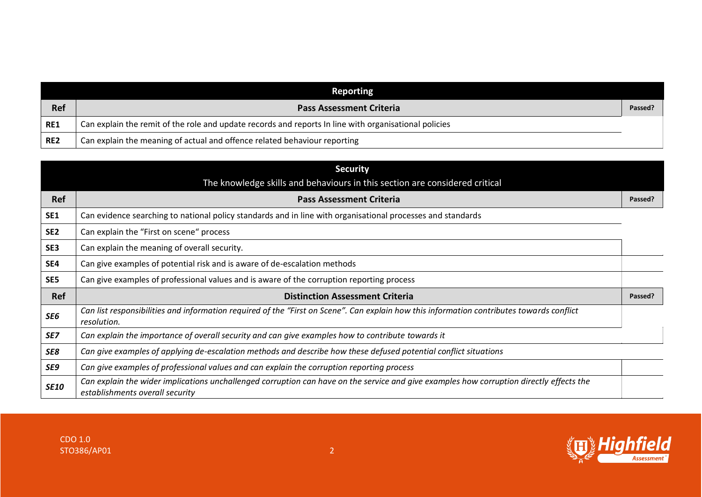|            | Reporting                                                                                             |         |
|------------|-------------------------------------------------------------------------------------------------------|---------|
| <b>Ref</b> | <b>Pass Assessment Criteria</b>                                                                       | Passed? |
| <b>RE1</b> | Can explain the remit of the role and update records and reports In line with organisational policies |         |
| RE2        | Can explain the meaning of actual and offence related behaviour reporting                             |         |

|                 | <b>Security</b><br>The knowledge skills and behaviours in this section are considered critical                                                                              |         |
|-----------------|-----------------------------------------------------------------------------------------------------------------------------------------------------------------------------|---------|
| <b>Ref</b>      | <b>Pass Assessment Criteria</b>                                                                                                                                             | Passed? |
| SE1             | Can evidence searching to national policy standards and in line with organisational processes and standards                                                                 |         |
| SE <sub>2</sub> | Can explain the "First on scene" process                                                                                                                                    |         |
| SE <sub>3</sub> | Can explain the meaning of overall security.                                                                                                                                |         |
| SE4             | Can give examples of potential risk and is aware of de-escalation methods                                                                                                   |         |
| SE5             | Can give examples of professional values and is aware of the corruption reporting process                                                                                   |         |
| <b>Ref</b>      | <b>Distinction Assessment Criteria</b>                                                                                                                                      | Passed? |
| SE6             | Can list responsibilities and information required of the "First on Scene". Can explain how this information contributes towards conflict<br>resolution.                    |         |
| SE7             | Can explain the importance of overall security and can give examples how to contribute towards it                                                                           |         |
| SE8             | Can give examples of applying de-escalation methods and describe how these defused potential conflict situations                                                            |         |
| SE9             | Can give examples of professional values and can explain the corruption reporting process                                                                                   |         |
| <b>SE10</b>     | Can explain the wider implications unchallenged corruption can have on the service and give examples how corruption directly effects the<br>establishments overall security |         |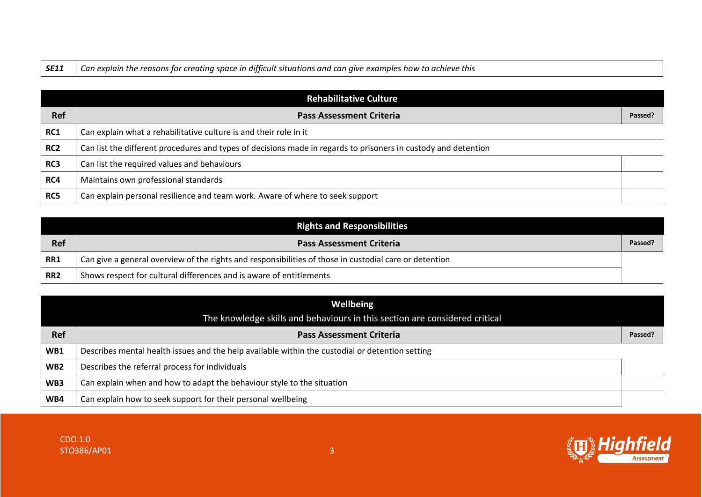|  | <b>SE11</b> $\Box$ Can explain the reasons for creating space in difficult situations and can give examples how to achieve this |
|--|---------------------------------------------------------------------------------------------------------------------------------|
|--|---------------------------------------------------------------------------------------------------------------------------------|

|                 | Rehabilitative Culture                                                                                         |         |
|-----------------|----------------------------------------------------------------------------------------------------------------|---------|
| Ref             | <b>Pass Assessment Criteria</b>                                                                                | Passed? |
| RC1             | Can explain what a rehabilitative culture is and their role in it                                              |         |
| RC <sub>2</sub> | Can list the different procedures and types of decisions made in regards to prisoners in custody and detention |         |
| RC3             | Can list the required values and behaviours                                                                    |         |
| RC4             | Maintains own professional standards                                                                           |         |
| RC5             | Can explain personal resilience and team work. Aware of where to seek support                                  |         |

|                 | <b>Rights and Responsibilities</b>                                                                     |         |
|-----------------|--------------------------------------------------------------------------------------------------------|---------|
| <b>Ref</b>      | <b>Pass Assessment Criteria</b>                                                                        | Passed? |
| RR1             | Can give a general overview of the rights and responsibilities of those in custodial care or detention |         |
| RR <sub>2</sub> | Shows respect for cultural differences and is aware of entitlements                                    |         |

| <b>Wellbeing</b> |                                                                                                 |         |
|------------------|-------------------------------------------------------------------------------------------------|---------|
|                  | The knowledge skills and behaviours in this section are considered critical                     |         |
| <b>Ref</b>       | <b>Pass Assessment Criteria</b>                                                                 | Passed? |
| WB1              | Describes mental health issues and the help available within the custodial or detention setting |         |
| WB <sub>2</sub>  | Describes the referral process for individuals                                                  |         |
| WB3              | Can explain when and how to adapt the behaviour style to the situation                          |         |
| WB4              | Can explain how to seek support for their personal wellbeing                                    |         |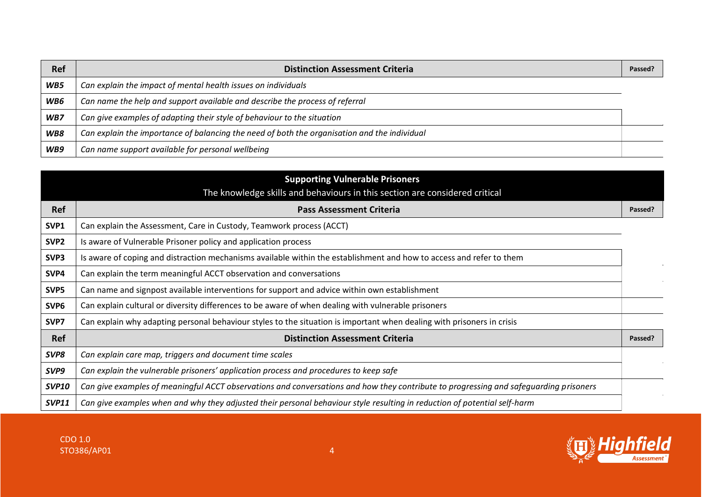| <b>Ref</b> | <b>Distinction Assessment Criteria</b>                                                       | Passed? |
|------------|----------------------------------------------------------------------------------------------|---------|
| WB5        | Can explain the impact of mental health issues on individuals                                |         |
| WB6        | Can name the help and support available and describe the process of referral                 |         |
| WB7        | Can give examples of adapting their style of behaviour to the situation                      |         |
| WB8        | Can explain the importance of balancing the need of both the organisation and the individual |         |
| WB9        | Can name support available for personal wellbeing                                            |         |

|                  | <b>Supporting Vulnerable Prisoners</b>                                                                                                |         |
|------------------|---------------------------------------------------------------------------------------------------------------------------------------|---------|
|                  | The knowledge skills and behaviours in this section are considered critical                                                           |         |
| <b>Ref</b>       | <b>Pass Assessment Criteria</b>                                                                                                       | Passed? |
| SVP1             | Can explain the Assessment, Care in Custody, Teamwork process (ACCT)                                                                  |         |
| SVP <sub>2</sub> | Is aware of Vulnerable Prisoner policy and application process                                                                        |         |
| SVP3             | Is aware of coping and distraction mechanisms available within the establishment and how to access and refer to them                  |         |
| SVP4             | Can explain the term meaningful ACCT observation and conversations                                                                    |         |
| SVP5             | Can name and signpost available interventions for support and advice within own establishment                                         |         |
| SVP <sub>6</sub> | Can explain cultural or diversity differences to be aware of when dealing with vulnerable prisoners                                   |         |
| SVP7             | Can explain why adapting personal behaviour styles to the situation is important when dealing with prisoners in crisis                |         |
| <b>Ref</b>       | <b>Distinction Assessment Criteria</b>                                                                                                | Passed? |
| SVP8             | Can explain care map, triggers and document time scales                                                                               |         |
| SVP9             | Can explain the vulnerable prisoners' application process and procedures to keep safe                                                 |         |
| <b>SVP10</b>     | Can give examples of meaningful ACCT observations and conversations and how they contribute to progressing and safeguarding prisoners |         |
| <b>SVP11</b>     | Can give examples when and why they adjusted their personal behaviour style resulting in reduction of potential self-harm             |         |

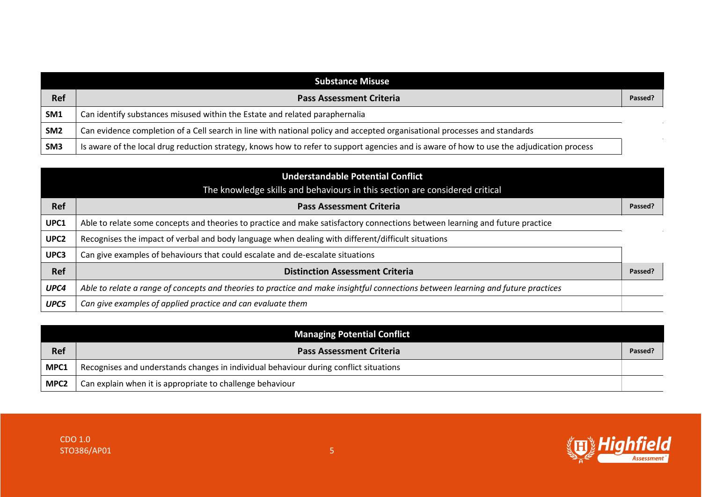|                 | <b>Substance Misuse</b>                                                                                                                   |         |
|-----------------|-------------------------------------------------------------------------------------------------------------------------------------------|---------|
| Ref             | <b>Pass Assessment Criteria</b>                                                                                                           | Passed? |
| SM1             | Can identify substances misused within the Estate and related paraphernalia                                                               |         |
| SM <sub>2</sub> | Can evidence completion of a Cell search in line with national policy and accepted organisational processes and standards                 |         |
| SM <sub>3</sub> | Is aware of the local drug reduction strategy, knows how to refer to support agencies and is aware of how to use the adjudication process |         |

|                  | <b>Understandable Potential Conflict</b><br>The knowledge skills and behaviours in this section are considered critical           |         |
|------------------|-----------------------------------------------------------------------------------------------------------------------------------|---------|
| <b>Ref</b>       | <b>Pass Assessment Criteria</b>                                                                                                   | Passed? |
| UPC1             | Able to relate some concepts and theories to practice and make satisfactory connections between learning and future practice      |         |
| UPC <sub>2</sub> | Recognises the impact of verbal and body language when dealing with different/difficult situations                                |         |
| UPC3             | Can give examples of behaviours that could escalate and de-escalate situations                                                    |         |
| <b>Ref</b>       | <b>Distinction Assessment Criteria</b>                                                                                            | Passed? |
| UPC4             | Able to relate a range of concepts and theories to practice and make insightful connections between learning and future practices |         |
| UPC5             | Can give examples of applied practice and can evaluate them                                                                       |         |

|                  | <b>Managing Potential Conflict</b>                                                    |         |
|------------------|---------------------------------------------------------------------------------------|---------|
| <b>Ref</b>       | <b>Pass Assessment Criteria</b>                                                       | Passed? |
| MPC1             | Recognises and understands changes in individual behaviour during conflict situations |         |
| MPC <sub>2</sub> | Can explain when it is appropriate to challenge behaviour                             |         |